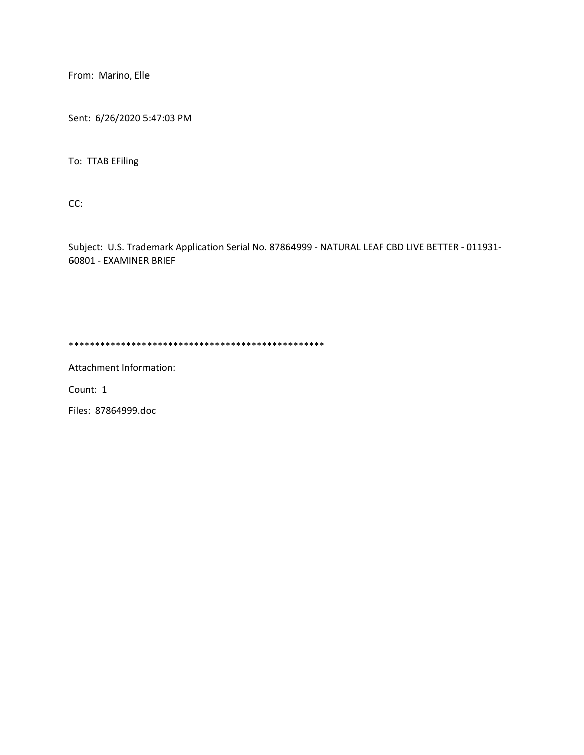From: Marino, Elle

Sent: 6/26/2020 5:47:03 PM

To: TTAB EFiling

CC:

Subject: U.S. Trademark Application Serial No. 87864999 - NATURAL LEAF CBD LIVE BETTER - 011931- 60801 - EXAMINER BRIEF

\*\*\*\*\*\*\*\*\*\*\*\*\*\*\*\*\*\*\*\*\*\*\*\*\*\*\*\*\*\*\*\*\*\*\*\*\*\*\*\*\*\*\*\*\*\*\*\*\*

Attachment Information:

Count: 1

Files: 87864999.doc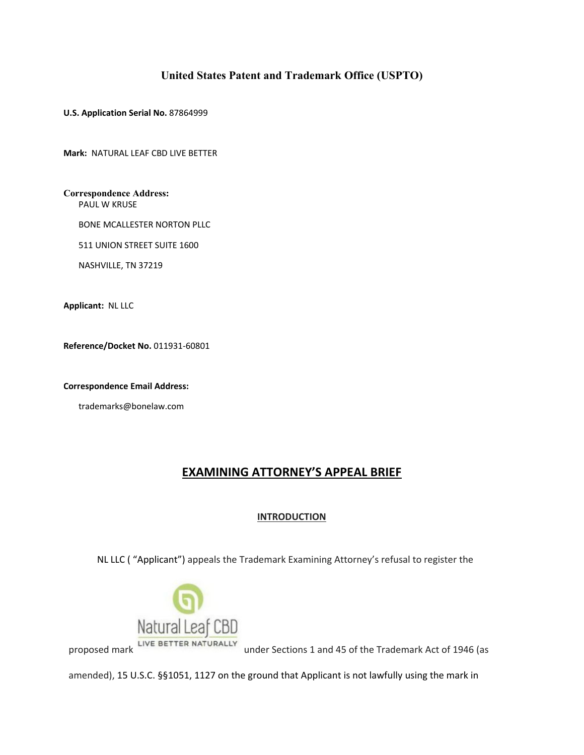# **United States Patent and Trademark Office (USPTO)**

**U.S. Application Serial No.** 87864999

**Mark:** NATURAL LEAF CBD LIVE BETTER

**Correspondence Address:** PAUL W KRUSE

BONE MCALLESTER NORTON PLLC

511 UNION STREET SUITE 1600

NASHVILLE, TN 37219

**Applicant:** NL LLC

**Reference/Docket No.** 011931-60801

**Correspondence Email Address:**

trademarks@bonelaw.com

# **EXAMINING ATTORNEY'S APPEAL BRIEF**

### **INTRODUCTION**

NL LLC ( "Applicant") appeals the Trademark Examining Attorney's refusal to register the



proposed mark under Sections 1 and 45 of the Trademark Act of 1946 (as

amended), 15 U.S.C. §§1051, 1127 on the ground that Applicant is not lawfully using the mark in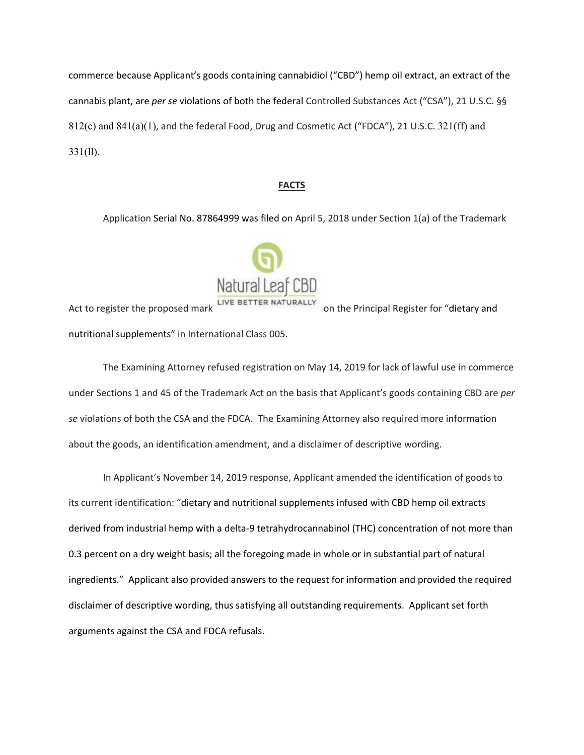commerce because Applicant's goods containing cannabidiol ("CBD") hemp oil extract, an extract of the cannabis plant, are *per se* violations of both the federal Controlled Substances Act ("CSA"), 21 U.S.C. §§ 812(c) and 841(a)(1), and the federal Food, Drug and Cosmetic Act ("FDCA"), 21 U.S.C. 321(ff) and 331(ll).

### **FACTS**

Application Serial No. 87864999 was filed on April 5, 2018 under Section 1(a) of the Trademark



Act to register the proposed mark LIVE BETTER NATURALLY on the Principal Register for "dietary and nutritional supplements" in International Class 005.

The Examining Attorney refused registration on May 14, 2019 for lack of lawful use in commerce under Sections 1 and 45 of the Trademark Act on the basis that Applicant's goods containing CBD are *per se* violations of both the CSA and the FDCA. The Examining Attorney also required more information about the goods, an identification amendment, and a disclaimer of descriptive wording.

In Applicant's November 14, 2019 response, Applicant amended the identification of goods to its current identification: "dietary and nutritional supplements infused with CBD hemp oil extracts derived from industrial hemp with a delta-9 tetrahydrocannabinol (THC) concentration of not more than 0.3 percent on a dry weight basis; all the foregoing made in whole or in substantial part of natural ingredients." Applicant also provided answers to the request for information and provided the required disclaimer of descriptive wording, thus satisfying all outstanding requirements. Applicant set forth arguments against the CSA and FDCA refusals.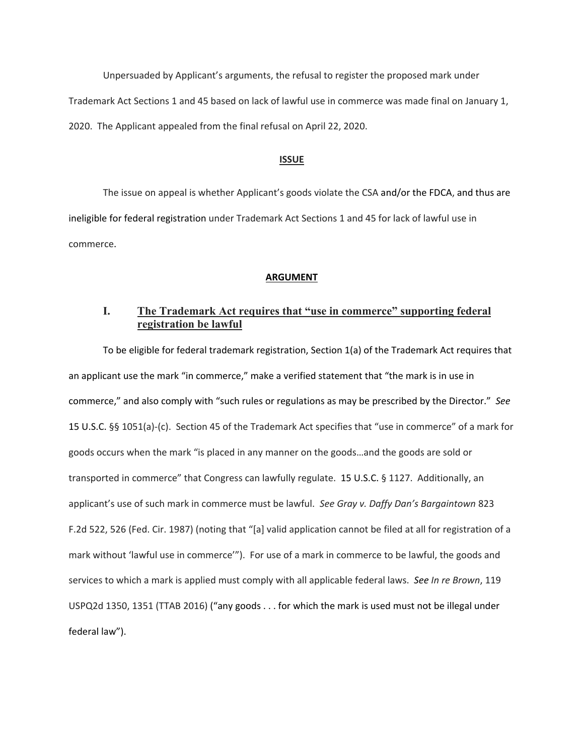Unpersuaded by Applicant's arguments, the refusal to register the proposed mark under Trademark Act Sections 1 and 45 based on lack of lawful use in commerce was made final on January 1, 2020. The Applicant appealed from the final refusal on April 22, 2020.

#### **ISSUE**

The issue on appeal is whether Applicant's goods violate the CSA and/or the FDCA, and thus are ineligible for federal registration under Trademark Act Sections 1 and 45 for lack of lawful use in commerce.

### **ARGUMENT**

## **I. The Trademark Act requires that "use in commerce" supporting federal registration be lawful**

To be eligible for federal trademark registration, Section 1(a) of the Trademark Act requires that an applicant use the mark "in commerce," make a verified statement that "the mark is in use in commerce," and also comply with "such rules or regulations as may be prescribed by the Director." *See*  15 U.S.C. §§ 1051(a)-(c). Section 45 of the Trademark Act specifies that "use in commerce" of a mark for goods occurs when the mark "is placed in any manner on the goods…and the goods are sold or transported in commerce" that Congress can lawfully regulate. 15 U.S.C. § 1127. Additionally, an applicant's use of such mark in commerce must be lawful. *See Gray v. Daffy Dan's Bargaintown* 823 F.2d 522, 526 (Fed. Cir. 1987) (noting that "[a] valid application cannot be filed at all for registration of a mark without 'lawful use in commerce'"). For use of a mark in commerce to be lawful, the goods and services to which a mark is applied must comply with all applicable federal laws. *See In re Brown*, 119 USPQ2d 1350, 1351 (TTAB 2016) ("any goods . . . for which the mark is used must not be illegal under federal law").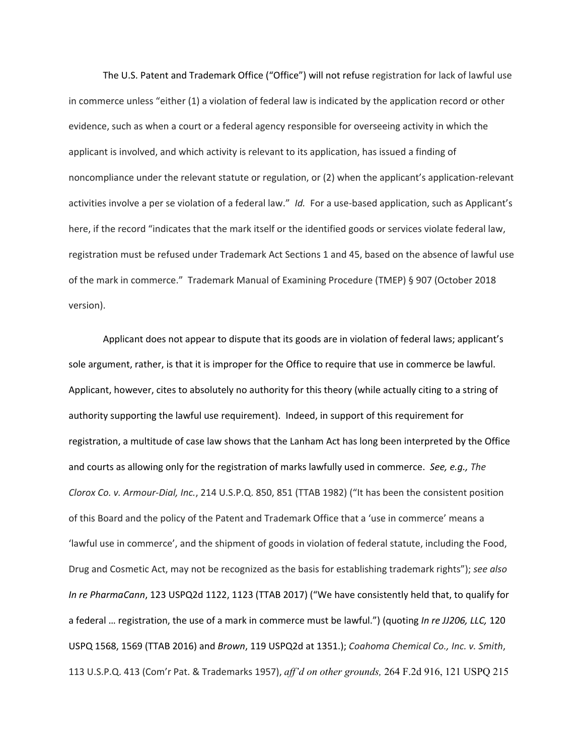The U.S. Patent and Trademark Office ("Office") will not refuse registration for lack of lawful use in commerce unless "either (1) a violation of federal law is indicated by the application record or other evidence, such as when a court or a federal agency responsible for overseeing activity in which the applicant is involved, and which activity is relevant to its application, has issued a finding of noncompliance under the relevant statute or regulation, or (2) when the applicant's application-relevant activities involve a per se violation of a federal law." *Id.* For a use-based application, such as Applicant's here, if the record "indicates that the mark itself or the identified goods or services violate federal law, registration must be refused under Trademark Act Sections 1 and 45, based on the absence of lawful use of the mark in commerce." Trademark Manual of Examining Procedure (TMEP) § 907 (October 2018 version).

Applicant does not appear to dispute that its goods are in violation of federal laws; applicant's sole argument, rather, is that it is improper for the Office to require that use in commerce be lawful. Applicant, however, cites to absolutely no authority for this theory (while actually citing to a string of authority supporting the lawful use requirement). Indeed, in support of this requirement for registration, a multitude of case law shows that the Lanham Act has long been interpreted by the Office and courts as allowing only for the registration of marks lawfully used in commerce. *See, e.g., The Clorox Co. v. Armour-Dial, Inc.*, 214 U.S.P.Q. 850, 851 (TTAB 1982) ("It has been the consistent position of this Board and the policy of the Patent and Trademark Office that a 'use in commerce' means a 'lawful use in commerce', and the shipment of goods in violation of federal statute, including the Food, Drug and Cosmetic Act, may not be recognized as the basis for establishing trademark rights"); *see also In re PharmaCann*, 123 USPQ2d 1122, 1123 (TTAB 2017) ("We have consistently held that, to qualify for a federal … registration, the use of a mark in commerce must be lawful.") (quoting *In re JJ206, LLC,* 120 USPQ 1568, 1569 (TTAB 2016) and *Brown*, 119 USPQ2d at 1351.); *Coahoma Chemical Co., Inc. v. Smith*, 113 U.S.P.Q. 413 (Com'r Pat. & Trademarks 1957), *aff'd on other grounds,* 264 F.2d 916, 121 USPQ 215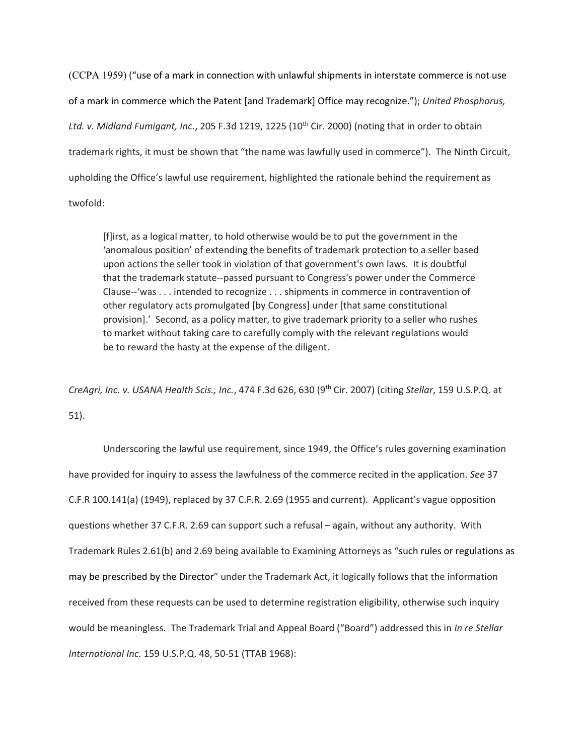(CCPA 1959) ("use of a mark in connection with unlawful shipments in interstate commerce is not use of a mark in commerce which the Patent [and Trademark] Office may recognize."); *United Phosphorus,*  Ltd. v. Midland Fumigant, Inc., 205 F.3d 1219, 1225 (10<sup>th</sup> Cir. 2000) (noting that in order to obtain trademark rights, it must be shown that "the name was lawfully used in commerce"). The Ninth Circuit, upholding the Office's lawful use requirement, highlighted the rationale behind the requirement as twofold:

[f]irst, as a logical matter, to hold otherwise would be to put the government in the 'anomalous position' of extending the benefits of trademark protection to a seller based upon actions the seller took in violation of that government's own laws. It is doubtful that the trademark statute--passed pursuant to Congress's power under the Commerce Clause--'was . . . intended to recognize . . . shipments in commerce in contravention of other regulatory acts promulgated [by Congress] under [that same constitutional provision].' Second, as a policy matter, to give trademark priority to a seller who rushes to market without taking care to carefully comply with the relevant regulations would be to reward the hasty at the expense of the diligent.

*CreAgri, Inc. v. USANA Health Scis., Inc.*, 474 F.3d 626, 630 (9th Cir. 2007) (citing *Stellar*, 159 U.S.P.Q. at 51).

Underscoring the lawful use requirement, since 1949, the Office's rules governing examination have provided for inquiry to assess the lawfulness of the commerce recited in the application. *See* 37 C.F.R 100.141(a) (1949), replaced by 37 C.F.R. 2.69 (1955 and current). Applicant's vague opposition questions whether 37 C.F.R. 2.69 can support such a refusal – again, without any authority. With Trademark Rules 2.61(b) and 2.69 being available to Examining Attorneys as "such rules or regulations as may be prescribed by the Director" under the Trademark Act, it logically follows that the information received from these requests can be used to determine registration eligibility, otherwise such inquiry would be meaningless. The Trademark Trial and Appeal Board ("Board") addressed this in *In re Stellar International Inc.* 159 U.S.P.Q. 48, 50-51 (TTAB 1968):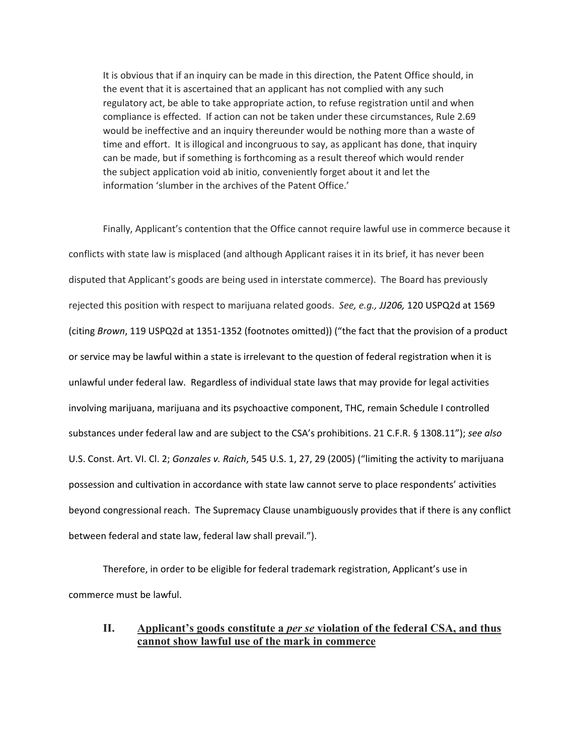It is obvious that if an inquiry can be made in this direction, the Patent Office should, in the event that it is ascertained that an applicant has not complied with any such regulatory act, be able to take appropriate action, to refuse registration until and when compliance is effected. If action can not be taken under these circumstances, Rule 2.69 would be ineffective and an inquiry thereunder would be nothing more than a waste of time and effort. It is illogical and incongruous to say, as applicant has done, that inquiry can be made, but if something is forthcoming as a result thereof which would render the subject application void ab initio, conveniently forget about it and let the information 'slumber in the archives of the Patent Office.'

Finally, Applicant's contention that the Office cannot require lawful use in commerce because it conflicts with state law is misplaced (and although Applicant raises it in its brief, it has never been disputed that Applicant's goods are being used in interstate commerce). The Board has previously rejected this position with respect to marijuana related goods. *See, e.g., JJ206,* 120 USPQ2d at 1569 (citing *Brown*, 119 USPQ2d at 1351-1352 (footnotes omitted)) ("the fact that the provision of a product or service may be lawful within a state is irrelevant to the question of federal registration when it is unlawful under federal law. Regardless of individual state laws that may provide for legal activities involving marijuana, marijuana and its psychoactive component, THC, remain Schedule I controlled substances under federal law and are subject to the CSA's prohibitions. 21 C.F.R. § 1308.11"); *see also* U.S. Const. Art. VI. Cl. 2; *Gonzales v. Raich*, 545 U.S. 1, 27, 29 (2005) ("limiting the activity to marijuana possession and cultivation in accordance with state law cannot serve to place respondents' activities beyond congressional reach. The Supremacy Clause unambiguously provides that if there is any conflict between federal and state law, federal law shall prevail.").

Therefore, in order to be eligible for federal trademark registration, Applicant's use in commerce must be lawful.

## **II. Applicant's goods constitute a** *per se* **violation of the federal CSA, and thus cannot show lawful use of the mark in commerce**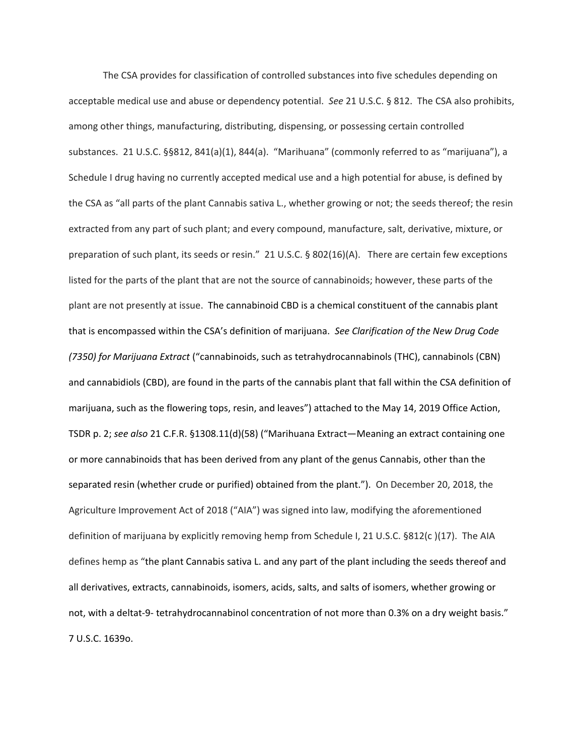The CSA provides for classification of controlled substances into five schedules depending on acceptable medical use and abuse or dependency potential. *See* 21 U.S.C. § 812. The CSA also prohibits, among other things, manufacturing, distributing, dispensing, or possessing certain controlled substances. 21 U.S.C. §§812, 841(a)(1), 844(a). "Marihuana" (commonly referred to as "marijuana"), a Schedule I drug having no currently accepted medical use and a high potential for abuse, is defined by the CSA as "all parts of the plant Cannabis sativa L., whether growing or not; the seeds thereof; the resin extracted from any part of such plant; and every compound, manufacture, salt, derivative, mixture, or preparation of such plant, its seeds or resin." 21 U.S.C. § 802(16)(A). There are certain few exceptions listed for the parts of the plant that are not the source of cannabinoids; however, these parts of the plant are not presently at issue. The cannabinoid CBD is a chemical constituent of the cannabis plant that is encompassed within the CSA's definition of marijuana. *See Clarification of the New Drug Code (7350) for Marijuana Extract* ("cannabinoids, such as tetrahydrocannabinols (THC), cannabinols (CBN) and cannabidiols (CBD), are found in the parts of the cannabis plant that fall within the CSA definition of marijuana, such as the flowering tops, resin, and leaves") attached to the May 14, 2019 Office Action, TSDR p. 2; *see also* 21 C.F.R. §1308.11(d)(58) ("Marihuana Extract—Meaning an extract containing one or more cannabinoids that has been derived from any plant of the genus Cannabis, other than the separated resin (whether crude or purified) obtained from the plant."). On December 20, 2018, the Agriculture Improvement Act of 2018 ("AIA") was signed into law, modifying the aforementioned definition of marijuana by explicitly removing hemp from Schedule I, 21 U.S.C. §812(c )(17). The AIA defines hemp as "the plant Cannabis sativa L. and any part of the plant including the seeds thereof and all derivatives, extracts, cannabinoids, isomers, acids, salts, and salts of isomers, whether growing or not, with a deltat-9- tetrahydrocannabinol concentration of not more than 0.3% on a dry weight basis." 7 U.S.C. 1639o.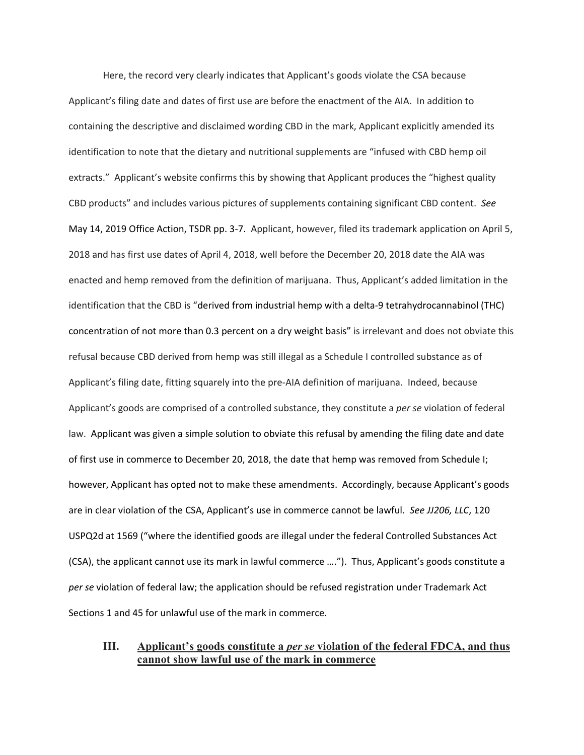Here, the record very clearly indicates that Applicant's goods violate the CSA because Applicant's filing date and dates of first use are before the enactment of the AIA. In addition to containing the descriptive and disclaimed wording CBD in the mark, Applicant explicitly amended its identification to note that the dietary and nutritional supplements are "infused with CBD hemp oil extracts." Applicant's website confirms this by showing that Applicant produces the "highest quality CBD products" and includes various pictures of supplements containing significant CBD content. *See*  May 14, 2019 Office Action, TSDR pp. 3-7. Applicant, however, filed its trademark application on April 5, 2018 and has first use dates of April 4, 2018, well before the December 20, 2018 date the AIA was enacted and hemp removed from the definition of marijuana. Thus, Applicant's added limitation in the identification that the CBD is "derived from industrial hemp with a delta-9 tetrahydrocannabinol (THC) concentration of not more than 0.3 percent on a dry weight basis" is irrelevant and does not obviate this refusal because CBD derived from hemp was still illegal as a Schedule I controlled substance as of Applicant's filing date, fitting squarely into the pre-AIA definition of marijuana. Indeed, because Applicant's goods are comprised of a controlled substance, they constitute a *per se* violation of federal law. Applicant was given a simple solution to obviate this refusal by amending the filing date and date of first use in commerce to December 20, 2018, the date that hemp was removed from Schedule I; however, Applicant has opted not to make these amendments. Accordingly, because Applicant's goods are in clear violation of the CSA, Applicant's use in commerce cannot be lawful. *See JJ206, LLC*, 120 USPQ2d at 1569 ("where the identified goods are illegal under the federal Controlled Substances Act (CSA), the applicant cannot use its mark in lawful commerce …."). Thus, Applicant's goods constitute a *per se* violation of federal law; the application should be refused registration under Trademark Act Sections 1 and 45 for unlawful use of the mark in commerce.

## **III. Applicant's goods constitute a** *per se* **violation of the federal FDCA, and thus cannot show lawful use of the mark in commerce**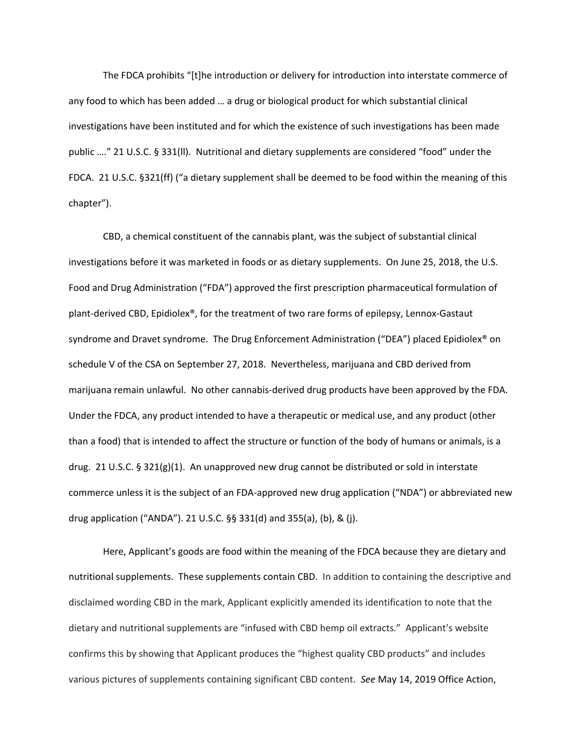The FDCA prohibits "[t]he introduction or delivery for introduction into interstate commerce of any food to which has been added … a drug or biological product for which substantial clinical investigations have been instituted and for which the existence of such investigations has been made public …." 21 U.S.C. § 331(ll). Nutritional and dietary supplements are considered "food" under the FDCA. 21 U.S.C. §321(ff) ("a dietary supplement shall be deemed to be food within the meaning of this chapter").

CBD, a chemical constituent of the cannabis plant, was the subject of substantial clinical investigations before it was marketed in foods or as dietary supplements. On June 25, 2018, the U.S. Food and Drug Administration ("FDA") approved the first prescription pharmaceutical formulation of plant-derived CBD, Epidiolex®, for the treatment of two rare forms of epilepsy, Lennox-Gastaut syndrome and Dravet syndrome. The Drug Enforcement Administration ("DEA") placed Epidiolex® on schedule V of the CSA on September 27, 2018. Nevertheless, marijuana and CBD derived from marijuana remain unlawful. No other cannabis-derived drug products have been approved by the FDA. Under the FDCA, any product intended to have a therapeutic or medical use, and any product (other than a food) that is intended to affect the structure or function of the body of humans or animals, is a drug. 21 U.S.C. § 321(g)(1). An unapproved new drug cannot be distributed or sold in interstate commerce unless it is the subject of an FDA-approved new drug application ("NDA") or abbreviated new drug application ("ANDA"). 21 U.S.C. §§ 331(d) and 355(a), (b), & (j).

Here, Applicant's goods are food within the meaning of the FDCA because they are dietary and nutritional supplements. These supplements contain CBD. In addition to containing the descriptive and disclaimed wording CBD in the mark, Applicant explicitly amended its identification to note that the dietary and nutritional supplements are "infused with CBD hemp oil extracts." Applicant's website confirms this by showing that Applicant produces the "highest quality CBD products" and includes various pictures of supplements containing significant CBD content. *See* May 14, 2019 Office Action,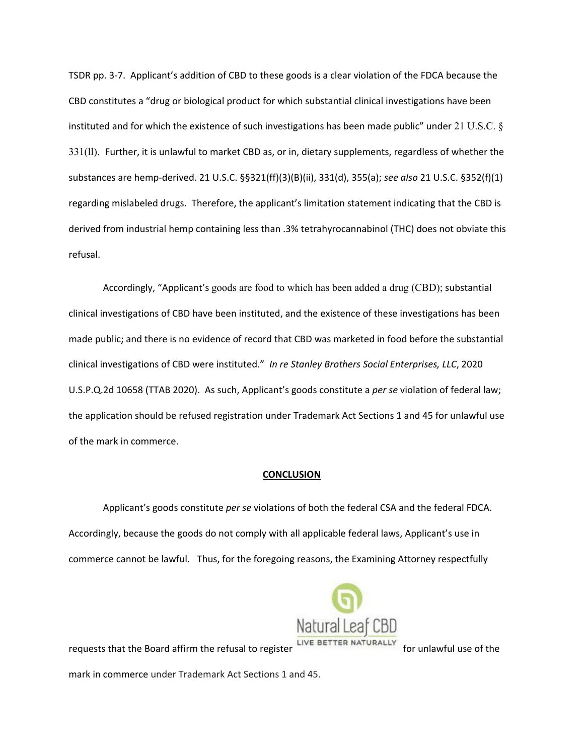TSDR pp. 3-7. Applicant's addition of CBD to these goods is a clear violation of the FDCA because the CBD constitutes a "drug or biological product for which substantial clinical investigations have been instituted and for which the existence of such investigations has been made public" under 21 U.S.C.  $\S$ 331(ll). Further, it is unlawful to market CBD as, or in, dietary supplements, regardless of whether the substances are hemp-derived. 21 U.S.C. §§321(ff)(3)(B)(ii), 331(d), 355(a); *see also* 21 U.S.C. §352(f)(1) regarding mislabeled drugs. Therefore, the applicant's limitation statement indicating that the CBD is derived from industrial hemp containing less than .3% tetrahyrocannabinol (THC) does not obviate this refusal.

Accordingly, "Applicant's goods are food to which has been added a drug (CBD); substantial clinical investigations of CBD have been instituted, and the existence of these investigations has been made public; and there is no evidence of record that CBD was marketed in food before the substantial clinical investigations of CBD were instituted." *In re Stanley Brothers Social Enterprises, LLC*, 2020 U.S.P.Q.2d 10658 (TTAB 2020). As such, Applicant's goods constitute a *per se* violation of federal law; the application should be refused registration under Trademark Act Sections 1 and 45 for unlawful use of the mark in commerce.

#### **CONCLUSION**

Applicant's goods constitute *per se* violations of both the federal CSA and the federal FDCA. Accordingly, because the goods do not comply with all applicable federal laws, Applicant's use in commerce cannot be lawful. Thus, for the foregoing reasons, the Examining Attorney respectfully



requests that the Board affirm the refusal to register **ELIVE BETTER NATURALLY** for unlawful use of the mark in commerce under Trademark Act Sections 1 and 45.